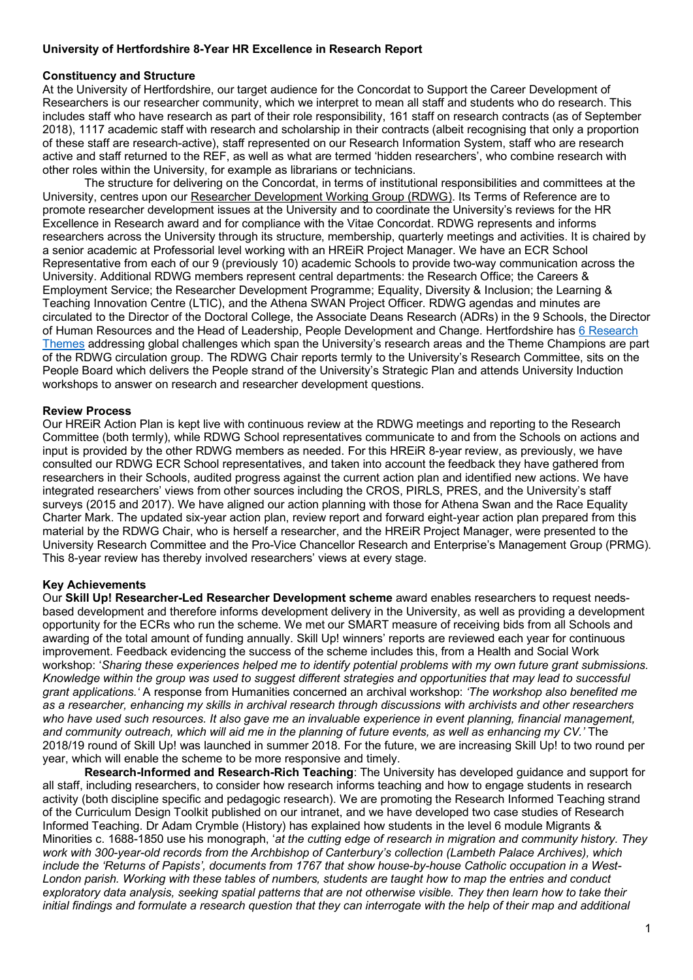# **University of Hertfordshire 8-Year HR Excellence in Research Report**

## **Constituency and Structure**

At the University of Hertfordshire, our target audience for the Concordat to Support the Career Development of Researchers is our researcher community, which we interpret to mean all staff and students who do research. This includes staff who have research as part of their role responsibility, 161 staff on research contracts (as of September 2018), 1117 academic staff with research and scholarship in their contracts (albeit recognising that only a proportion of these staff are research-active), staff represented on our Research Information System, staff who are research active and staff returned to the REF, as well as what are termed 'hidden researchers', who combine research with other roles within the University, for example as librarians or technicians.

The structure for delivering on the Concordat, in terms of institutional responsibilities and committees at the University, centres upon our Researcher Development Working Group (RDWG). Its Terms of Reference are to promote researcher development issues at the University and to coordinate the University's reviews for the HR Excellence in Research award and for compliance with the Vitae Concordat. RDWG represents and informs researchers across the University through its structure, membership, quarterly meetings and activities. It is chaired by a senior academic at Professorial level working with an HREiR Project Manager. We have an ECR School Representative from each of our 9 (previously 10) academic Schools to provide two-way communication across the University. Additional RDWG members represent central departments: the Research Office; the Careers & Employment Service; the Researcher Development Programme; Equality, Diversity & Inclusion; the Learning & Teaching Innovation Centre (LTIC), and the Athena SWAN Project Officer. RDWG agendas and minutes are circulated to the Director of the Doctoral College, the Associate Deans Research (ADRs) in the 9 Schools, the Director of Human Resources and the Head of Leadership, People Development and Change. Hertfordshire has 6 Research Themes addressing global challenges which span the University's research areas and the Theme Champions are part of the RDWG circulation group. The RDWG Chair reports termly to the University's Research Committee, sits on the People Board which delivers the People strand of the University's Strategic Plan and attends University Induction workshops to answer on research and researcher development questions.

## **Review Process**

Our HREiR Action Plan is kept live with continuous review at the RDWG meetings and reporting to the Research Committee (both termly), while RDWG School representatives communicate to and from the Schools on actions and input is provided by the other RDWG members as needed. For this HREiR 8-year review, as previously, we have consulted our RDWG ECR School representatives, and taken into account the feedback they have gathered from researchers in their Schools, audited progress against the current action plan and identified new actions. We have integrated researchers' views from other sources including the CROS, PIRLS, PRES, and the University's staff surveys (2015 and 2017). We have aligned our action planning with those for Athena Swan and the Race Equality Charter Mark. The updated six-year action plan, review report and forward eight-year action plan prepared from this material by the RDWG Chair, who is herself a researcher, and the HREiR Project Manager, were presented to the University Research Committee and the Pro-Vice Chancellor Research and Enterprise's Management Group (PRMG). This 8-year review has thereby involved researchers' views at every stage.

## **Key Achievements**

Our **Skill Up! Researcher-Led Researcher Development scheme** award enables researchers to request needsbased development and therefore informs development delivery in the University, as well as providing a development opportunity for the ECRs who run the scheme. We met our SMART measure of receiving bids from all Schools and awarding of the total amount of funding annually. Skill Up! winners' reports are reviewed each year for continuous improvement. Feedback evidencing the success of the scheme includes this, from a Health and Social Work workshop: '*Sharing these experiences helped me to identify potential problems with my own future grant submissions. Knowledge within the group was used to suggest different strategies and opportunities that may lead to successful grant applications.'* A response from Humanities concerned an archival workshop: *'The workshop also benefited me as a researcher, enhancing my skills in archival research through discussions with archivists and other researchers who have used such resources. It also gave me an invaluable experience in event planning, financial management, and community outreach, which will aid me in the planning of future events, as well as enhancing my CV.'* The 2018/19 round of Skill Up! was launched in summer 2018. For the future, we are increasing Skill Up! to two round per year, which will enable the scheme to be more responsive and timely.

**Research-Informed and Research-Rich Teaching**: The University has developed guidance and support for all staff, including researchers, to consider how research informs teaching and how to engage students in research activity (both discipline specific and pedagogic research). We are promoting the Research Informed Teaching strand of the Curriculum Design Toolkit published on our intranet, and we have developed two case studies of Research Informed Teaching. Dr Adam Crymble (History) has explained how students in the level 6 module Migrants & Minorities c. 1688-1850 use his monograph, '*at the cutting edge of research in migration and community history. They work with 300-year-old records from the Archbishop of Canterbury's collection (Lambeth Palace Archives), which include the 'Returns of Papists', documents from 1767 that show house-by-house Catholic occupation in a West-London parish. Working with these tables of numbers, students are taught how to map the entries and conduct exploratory data analysis, seeking spatial patterns that are not otherwise visible. They then learn how to take their initial findings and formulate a research question that they can interrogate with the help of their map and additional*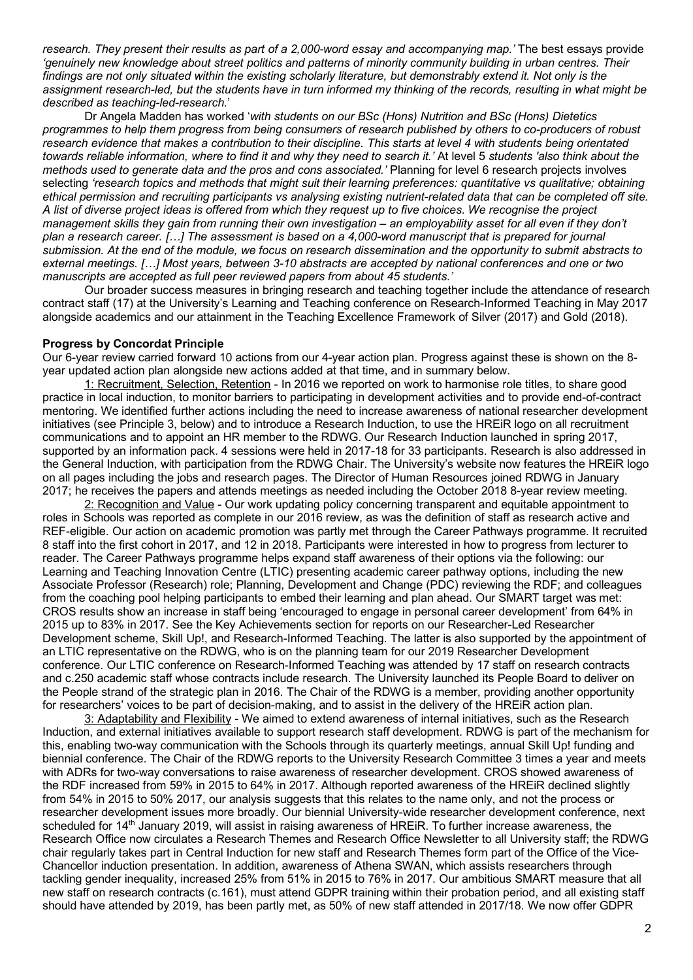*research. They present their results as part of a 2,000-word essay and accompanying map.'* The best essays provide *'genuinely new knowledge about street politics and patterns of minority community building in urban centres. Their findings are not only situated within the existing scholarly literature, but demonstrably extend it. Not only is the assignment research-led, but the students have in turn informed my thinking of the records, resulting in what might be described as teaching-led-research.*'

Dr Angela Madden has worked '*with students on our BSc (Hons) Nutrition and BSc (Hons) Dietetics programmes to help them progress from being consumers of research published by others to co-producers of robust research evidence that makes a contribution to their discipline. This starts at level 4 with students being orientated towards reliable information, where to find it and why they need to search it.'* At level 5 *students 'also think about the methods used to generate data and the pros and cons associated.'* Planning for level 6 research projects involves selecting *'research topics and methods that might suit their learning preferences: quantitative vs qualitative; obtaining ethical permission and recruiting participants vs analysing existing nutrient-related data that can be completed off site. A list of diverse project ideas is offered from which they request up to five choices. We recognise the project management skills they gain from running their own investigation – an employability asset for all even if they don't plan a research career. […] The assessment is based on a 4,000-word manuscript that is prepared for journal submission. At the end of the module, we focus on research dissemination and the opportunity to submit abstracts to external meetings. […] Most years, between 3-10 abstracts are accepted by national conferences and one or two manuscripts are accepted as full peer reviewed papers from about 45 students.'*

Our broader success measures in bringing research and teaching together include the attendance of research contract staff (17) at the University's Learning and Teaching conference on Research-Informed Teaching in May 2017 alongside academics and our attainment in the Teaching Excellence Framework of Silver (2017) and Gold (2018).

#### **Progress by Concordat Principle**

Our 6-year review carried forward 10 actions from our 4-year action plan. Progress against these is shown on the 8 year updated action plan alongside new actions added at that time, and in summary below.

1: Recruitment, Selection, Retention - In 2016 we reported on work to harmonise role titles, to share good practice in local induction, to monitor barriers to participating in development activities and to provide end-of-contract mentoring. We identified further actions including the need to increase awareness of national researcher development initiatives (see Principle 3, below) and to introduce a Research Induction, to use the HREiR logo on all recruitment communications and to appoint an HR member to the RDWG. Our Research Induction launched in spring 2017, supported by an information pack. 4 sessions were held in 2017-18 for 33 participants. Research is also addressed in the General Induction, with participation from the RDWG Chair. The University's website now features the HREiR logo on all pages including the jobs and research pages. The Director of Human Resources joined RDWG in January 2017; he receives the papers and attends meetings as needed including the October 2018 8-year review meeting.

2: Recognition and Value - Our work updating policy concerning transparent and equitable appointment to roles in Schools was reported as complete in our 2016 review, as was the definition of staff as research active and REF-eligible. Our action on academic promotion was partly met through the Career Pathways programme. It recruited 8 staff into the first cohort in 2017, and 12 in 2018. Participants were interested in how to progress from lecturer to reader. The Career Pathways programme helps expand staff awareness of their options via the following: our Learning and Teaching Innovation Centre (LTIC) presenting academic career pathway options, including the new Associate Professor (Research) role; Planning, Development and Change (PDC) reviewing the RDF; and colleagues from the coaching pool helping participants to embed their learning and plan ahead. Our SMART target was met: CROS results show an increase in staff being 'encouraged to engage in personal career development' from 64% in 2015 up to 83% in 2017. See the Key Achievements section for reports on our Researcher-Led Researcher Development scheme, Skill Up!, and Research-Informed Teaching. The latter is also supported by the appointment of an LTIC representative on the RDWG, who is on the planning team for our 2019 Researcher Development conference. Our LTIC conference on Research-Informed Teaching was attended by 17 staff on research contracts and c.250 academic staff whose contracts include research. The University launched its People Board to deliver on the People strand of the strategic plan in 2016. The Chair of the RDWG is a member, providing another opportunity for researchers' voices to be part of decision-making, and to assist in the delivery of the HREiR action plan.

3: Adaptability and Flexibility - We aimed to extend awareness of internal initiatives, such as the Research Induction, and external initiatives available to support research staff development. RDWG is part of the mechanism for this, enabling two-way communication with the Schools through its quarterly meetings, annual Skill Up! funding and biennial conference. The Chair of the RDWG reports to the University Research Committee 3 times a year and meets with ADRs for two-way conversations to raise awareness of researcher development. CROS showed awareness of the RDF increased from 59% in 2015 to 64% in 2017. Although reported awareness of the HREiR declined slightly from 54% in 2015 to 50% 2017, our analysis suggests that this relates to the name only, and not the process or researcher development issues more broadly. Our biennial University-wide researcher development conference, next scheduled for 14<sup>th</sup> January 2019, will assist in raising awareness of HREIR. To further increase awareness, the Research Office now circulates a Research Themes and Research Office Newsletter to all University staff; the RDWG chair regularly takes part in Central Induction for new staff and Research Themes form part of the Office of the Vice-Chancellor induction presentation. In addition, awareness of Athena SWAN, which assists researchers through tackling gender inequality, increased 25% from 51% in 2015 to 76% in 2017. Our ambitious SMART measure that all new staff on research contracts (c.161), must attend GDPR training within their probation period, and all existing staff should have attended by 2019, has been partly met, as 50% of new staff attended in 2017/18. We now offer GDPR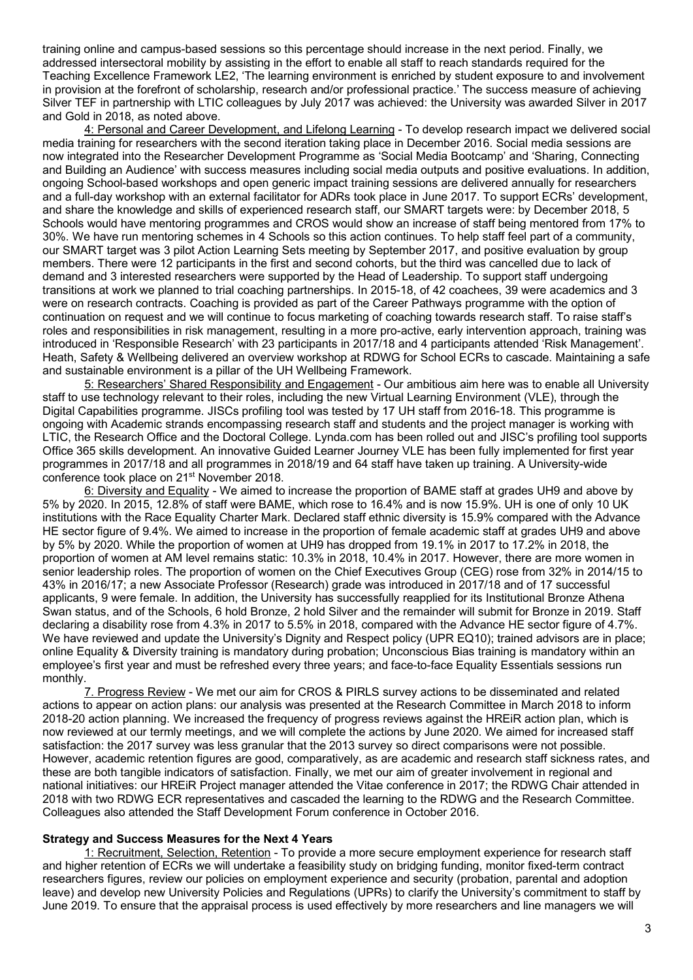training online and campus-based sessions so this percentage should increase in the next period. Finally, we addressed intersectoral mobility by assisting in the effort to enable all staff to reach standards required for the Teaching Excellence Framework LE2, 'The learning environment is enriched by student exposure to and involvement in provision at the forefront of scholarship, research and/or professional practice.' The success measure of achieving Silver TEF in partnership with LTIC colleagues by July 2017 was achieved: the University was awarded Silver in 2017 and Gold in 2018, as noted above.

4: Personal and Career Development, and Lifelong Learning - To develop research impact we delivered social media training for researchers with the second iteration taking place in December 2016. Social media sessions are now integrated into the Researcher Development Programme as 'Social Media Bootcamp' and 'Sharing, Connecting and Building an Audience' with success measures including social media outputs and positive evaluations. In addition, ongoing School-based workshops and open generic impact training sessions are delivered annually for researchers and a full-day workshop with an external facilitator for ADRs took place in June 2017. To support ECRs' development, and share the knowledge and skills of experienced research staff, our SMART targets were: by December 2018, 5 Schools would have mentoring programmes and CROS would show an increase of staff being mentored from 17% to 30%. We have run mentoring schemes in 4 Schools so this action continues. To help staff feel part of a community, our SMART target was 3 pilot Action Learning Sets meeting by September 2017, and positive evaluation by group members. There were 12 participants in the first and second cohorts, but the third was cancelled due to lack of demand and 3 interested researchers were supported by the Head of Leadership. To support staff undergoing transitions at work we planned to trial coaching partnerships. In 2015-18, of 42 coachees, 39 were academics and 3 were on research contracts. Coaching is provided as part of the Career Pathways programme with the option of continuation on request and we will continue to focus marketing of coaching towards research staff. To raise staff's roles and responsibilities in risk management, resulting in a more pro-active, early intervention approach, training was introduced in 'Responsible Research' with 23 participants in 2017/18 and 4 participants attended 'Risk Management'. Heath, Safety & Wellbeing delivered an overview workshop at RDWG for School ECRs to cascade. Maintaining a safe and sustainable environment is a pillar of the UH Wellbeing Framework.

5: Researchers' Shared Responsibility and Engagement - Our ambitious aim here was to enable all University staff to use technology relevant to their roles, including the new Virtual Learning Environment (VLE), through the Digital Capabilities programme. JISCs profiling tool was tested by 17 UH staff from 2016-18. This programme is ongoing with Academic strands encompassing research staff and students and the project manager is working with LTIC, the Research Office and the Doctoral College. Lynda.com has been rolled out and JISC's profiling tool supports Office 365 skills development. An innovative Guided Learner Journey VLE has been fully implemented for first year programmes in 2017/18 and all programmes in 2018/19 and 64 staff have taken up training. A University-wide conference took place on 21st November 2018.

6: Diversity and Equality - We aimed to increase the proportion of BAME staff at grades UH9 and above by 5% by 2020. In 2015, 12.8% of staff were BAME, which rose to 16.4% and is now 15.9%. UH is one of only 10 UK institutions with the Race Equality Charter Mark. Declared staff ethnic diversity is 15.9% compared with the Advance HE sector figure of 9.4%. We aimed to increase in the proportion of female academic staff at grades UH9 and above by 5% by 2020. While the proportion of women at UH9 has dropped from 19.1% in 2017 to 17.2% in 2018, the proportion of women at AM level remains static: 10.3% in 2018, 10.4% in 2017. However, there are more women in senior leadership roles. The proportion of women on the Chief Executives Group (CEG) rose from 32% in 2014/15 to 43% in 2016/17; a new Associate Professor (Research) grade was introduced in 2017/18 and of 17 successful applicants, 9 were female. In addition, the University has successfully reapplied for its Institutional Bronze Athena Swan status, and of the Schools, 6 hold Bronze, 2 hold Silver and the remainder will submit for Bronze in 2019. Staff declaring a disability rose from 4.3% in 2017 to 5.5% in 2018, compared with the Advance HE sector figure of 4.7%. We have reviewed and update the University's Dignity and Respect policy (UPR EQ10); trained advisors are in place; online Equality & Diversity training is mandatory during probation; Unconscious Bias training is mandatory within an employee's first year and must be refreshed every three years; and face-to-face Equality Essentials sessions run monthly.

7. Progress Review - We met our aim for CROS & PIRLS survey actions to be disseminated and related actions to appear on action plans: our analysis was presented at the Research Committee in March 2018 to inform 2018-20 action planning. We increased the frequency of progress reviews against the HREiR action plan, which is now reviewed at our termly meetings, and we will complete the actions by June 2020. We aimed for increased staff satisfaction: the 2017 survey was less granular that the 2013 survey so direct comparisons were not possible. However, academic retention figures are good, comparatively, as are academic and research staff sickness rates, and these are both tangible indicators of satisfaction. Finally, we met our aim of greater involvement in regional and national initiatives: our HREiR Project manager attended the Vitae conference in 2017; the RDWG Chair attended in 2018 with two RDWG ECR representatives and cascaded the learning to the RDWG and the Research Committee. Colleagues also attended the Staff Development Forum conference in October 2016.

#### **Strategy and Success Measures for the Next 4 Years**

1: Recruitment, Selection, Retention - To provide a more secure employment experience for research staff and higher retention of ECRs we will undertake a feasibility study on bridging funding, monitor fixed-term contract researchers figures, review our policies on employment experience and security (probation, parental and adoption leave) and develop new University Policies and Regulations (UPRs) to clarify the University's commitment to staff by June 2019. To ensure that the appraisal process is used effectively by more researchers and line managers we will